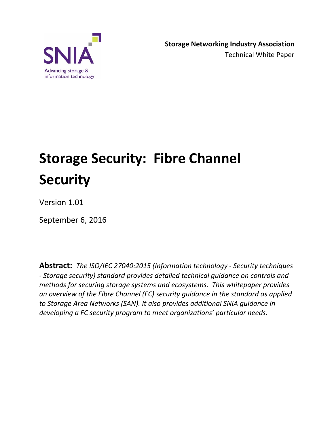

# **Storage Security: Fibre Channel Security**

Version 1.01

September 6, 2016

**Abstract:** *The ISO/IEC 27040:2015 (Information technology - Security techniques - Storage security) standard provides detailed technical guidance on controls and methods for securing storage systems and ecosystems. This whitepaper provides an overview of the Fibre Channel (FC) security guidance in the standard as applied to Storage Area Networks (SAN). It also provides additional SNIA guidance in developing a FC security program to meet organizations' particular needs.*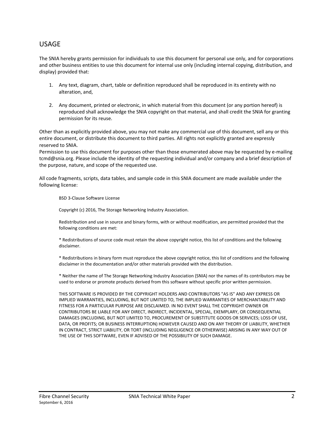#### USAGE

The SNIA hereby grants permission for individuals to use this document for personal use only, and for corporations and other business entities to use this document for internal use only (including internal copying, distribution, and display) provided that:

- 1. Any text, diagram, chart, table or definition reproduced shall be reproduced in its entirety with no alteration, and,
- 2. Any document, printed or electronic, in which material from this document (or any portion hereof) is reproduced shall acknowledge the SNIA copyright on that material, and shall credit the SNIA for granting permission for its reuse.

Other than as explicitly provided above, you may not make any commercial use of this document, sell any or this entire document, or distribute this document to third parties. All rights not explicitly granted are expressly reserved to SNIA.

Permission to use this document for purposes other than those enumerated above may be requested by e-mailing tcmd@snia.org. Please include the identity of the requesting individual and/or company and a brief description of the purpose, nature, and scope of the requested use.

All code fragments, scripts, data tables, and sample code in this SNIA document are made available under the following license:

BSD 3-Clause Software License

Copyright (c) 2016, The Storage Networking Industry Association.

Redistribution and use in source and binary forms, with or without modification, are permitted provided that the following conditions are met:

\* Redistributions of source code must retain the above copyright notice, this list of conditions and the following disclaimer.

\* Redistributions in binary form must reproduce the above copyright notice, this list of conditions and the following disclaimer in the documentation and/or other materials provided with the distribution.

\* Neither the name of The Storage Networking Industry Association (SNIA) nor the names of its contributors may be used to endorse or promote products derived from this software without specific prior written permission.

THIS SOFTWARE IS PROVIDED BY THE COPYRIGHT HOLDERS AND CONTRIBUTORS "AS IS" AND ANY EXPRESS OR IMPLIED WARRANTIES, INCLUDING, BUT NOT LIMITED TO, THE IMPLIED WARRANTIES OF MERCHANTABILITY AND FITNESS FOR A PARTICULAR PURPOSE ARE DISCLAIMED. IN NO EVENT SHALL THE COPYRIGHT OWNER OR CONTRIBUTORS BE LIABLE FOR ANY DIRECT, INDIRECT, INCIDENTAL, SPECIAL, EXEMPLARY, OR CONSEQUENTIAL DAMAGES (INCLUDING, BUT NOT LIMITED TO, PROCUREMENT OF SUBSTITUTE GOODS OR SERVICES; LOSS OF USE, DATA, OR PROFITS; OR BUSINESS INTERRUPTION) HOWEVER CAUSED AND ON ANY THEORY OF LIABILITY, WHETHER IN CONTRACT, STRICT LIABILITY, OR TORT (INCLUDING NEGLIGENCE OR OTHERWISE) ARISING IN ANY WAY OUT OF THE USE OF THIS SOFTWARE, EVEN IF ADVISED OF THE POSSIBILITY OF SUCH DAMAGE.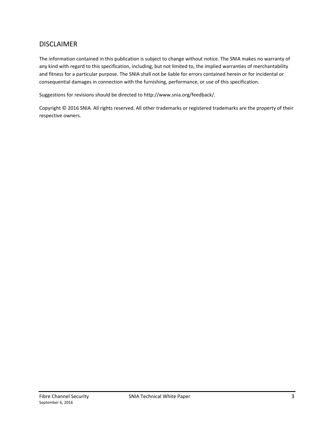### DISCLAIMER

The information contained in this publication is subject to change without notice. The SNIA makes no warranty of any kind with regard to this specification, including, but not limited to, the implied warranties of merchantability and fitness for a particular purpose. The SNIA shall not be liable for errors contained herein or for incidental or consequential damages in connection with the furnishing, performance, or use of this specification.

Suggestions for revisions should be directed to http://www.snia.org/feedback/.

Copyright © 2016 SNIA. All rights reserved. All other trademarks or registered trademarks are the property of their respective owners.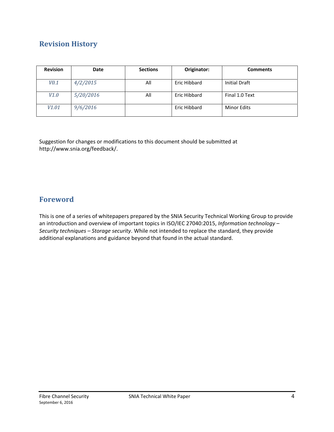# **Revision History**

| <b>Revision</b>   | Date      | <b>Sections</b> | Originator:  | <b>Comments</b>    |
|-------------------|-----------|-----------------|--------------|--------------------|
| V0.1              | 4/2/2015  | All             | Eric Hibbard | Initial Draft      |
| V1.0              | 5/20/2016 | All             | Eric Hibbard | Final 1.0 Text     |
| V <sub>1.01</sub> | 9/6/2016  |                 | Eric Hibbard | <b>Minor Edits</b> |

Suggestion for changes or modifications to this document should be submitted at http://www.snia.org/feedback/.

## **Foreword**

This is one of a series of whitepapers prepared by the SNIA Security Technical Working Group to provide an introduction and overview of important topics in ISO/IEC 27040:2015, *Information technology – Security techniques – Storage security*. While not intended to replace the standard, they provide additional explanations and guidance beyond that found in the actual standard.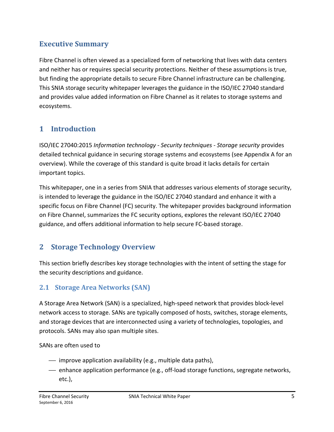# **Executive Summary**

Fibre Channel is often viewed as a specialized form of networking that lives with data centers and neither has or requires special security protections. Neither of these assumptions is true, but finding the appropriate details to secure Fibre Channel infrastructure can be challenging. This SNIA storage security whitepaper leverages the guidance in the ISO/IEC 27040 standard and provides value added information on Fibre Channel as it relates to storage systems and ecosystems.

# **1 Introduction**

ISO/IEC 27040:2015 *Information technology - Security techniques - Storage security* provides detailed technical guidance in securing storage systems and ecosystems (see Appendix A for an overview). While the coverage of this standard is quite broad it lacks details for certain important topics.

This whitepaper, one in a series from SNIA that addresses various elements of storage security, is intended to leverage the guidance in the ISO/IEC 27040 standard and enhance it with a specific focus on Fibre Channel (FC) security. The whitepaper provides background information on Fibre Channel, summarizes the FC security options, explores the relevant ISO/IEC 27040 guidance, and offers additional information to help secure FC-based storage.

# **2 Storage Technology Overview**

This section briefly describes key storage technologies with the intent of setting the stage for the security descriptions and guidance.

## **2.1 Storage Area Networks (SAN)**

A Storage Area Network (SAN) is a specialized, high-speed network that provides block-level network access to storage. SANs are typically composed of hosts, switches, storage elements, and storage devices that are interconnected using a variety of technologies, topologies, and protocols. SANs may also span multiple sites.

SANs are often used to

- $-$  improve application availability (e.g., multiple data paths),
- ⎯ enhance application performance (e.g., off-load storage functions, segregate networks, etc.),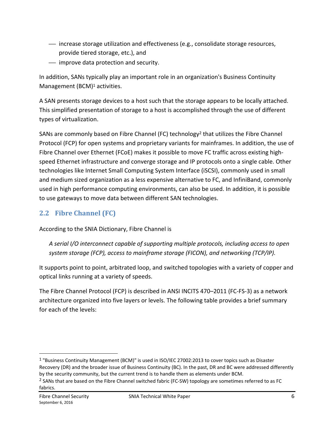- ⎯ increase storage utilization and effectiveness (e.g., consolidate storage resources, provide tiered storage, etc.), and
- $-$  improve data protection and security.

In addition, SANs typically play an important role in an organization's Business Continuity Management (BCM)<sup>1</sup> activities.

A SAN presents storage devices to a host such that the storage appears to be locally attached. This simplified presentation of storage to a host is accomplished through the use of different types of virtualization.

SANs are commonly based on Fibre Channel (FC) technology<sup>2</sup> that utilizes the Fibre Channel Protocol (FCP) for open systems and proprietary variants for mainframes. In addition, the use of Fibre Channel over Ethernet (FCoE) makes it possible to move FC traffic across existing highspeed Ethernet infrastructure and converge storage and IP protocols onto a single cable. Other technologies like Internet Small Computing System Interface (iSCSI), commonly used in small and medium sized organization as a less expensive alternative to FC, and InfiniBand, commonly used in high performance computing environments, can also be used. In addition, it is possible to use gateways to move data between different SAN technologies.

# **2.2 Fibre Channel (FC)**

According to the SNIA Dictionary, Fibre Channel is

*A serial I/O interconnect capable of supporting multiple protocols, including access to open system storage (FCP), access to mainframe storage (FICON), and networking (TCP/IP).* 

It supports point to point, arbitrated loop, and switched topologies with a variety of copper and optical links running at a variety of speeds.

The Fibre Channel Protocol (FCP) is described in ANSI INCITS 470–2011 (FC-FS-3) as a network architecture organized into five layers or levels. The following table provides a brief summary for each of the levels:

<sup>1 &</sup>quot;Business Continuity Management (BCM)" is used in ISO/IEC 27002:2013 to cover topics such as Disaster Recovery (DR) and the broader issue of Business Continuity (BC). In the past, DR and BC were addressed differently by the security community, but the current trend is to handle them as elements under BCM.

<sup>&</sup>lt;sup>2</sup> SANs that are based on the Fibre Channel switched fabric (FC-SW) topology are sometimes referred to as FC fabrics.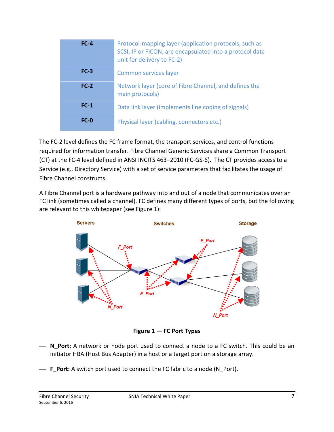| $FC-4$ | Protocol-mapping layer (application protocols, such as<br>SCSI, IP or FICON, are encapsulated into a protocol data<br>unit for delivery to FC-2) |
|--------|--------------------------------------------------------------------------------------------------------------------------------------------------|
| $FC-3$ | Common services layer                                                                                                                            |
| $FC-2$ | Network layer (core of Fibre Channel, and defines the<br>main protocols)                                                                         |
| $FC-1$ | Data link layer (implements line coding of signals)                                                                                              |
| $FC-0$ | Physical layer (cabling, connectors etc.)                                                                                                        |

The FC-2 level defines the FC frame format, the transport services, and control functions required for information transfer. Fibre Channel Generic Services share a Common Transport (CT) at the FC-4 level defined in ANSI INCITS 463–2010 (FC-GS-6). The CT provides access to a Service (e.g., Directory Service) with a set of service parameters that facilitates the usage of Fibre Channel constructs.

A Fibre Channel port is a hardware pathway into and out of a node that communicates over an FC link (sometimes called a channel). FC defines many different types of ports, but the following are relevant to this whitepaper (see Figure 1):



**Figure 1 — FC Port Types** 

- ⎯ **N\_Port:** A network or node port used to connect a node to a FC switch. This could be an initiator HBA (Host Bus Adapter) in a host or a target port on a storage array.
- **F\_Port:** A switch port used to connect the FC fabric to a node (N Port).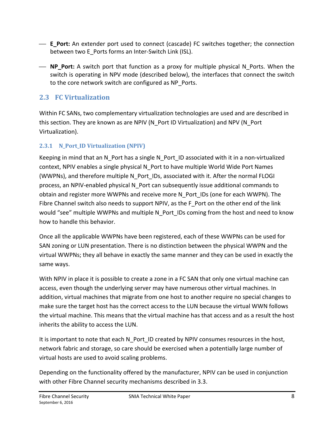- E Port: An extender port used to connect (cascade) FC switches together; the connection between two E\_Ports forms an Inter-Switch Link (ISL).
- $\overline{\phantom{a}}$  **NP Port:** A switch port that function as a proxy for multiple physical N Ports. When the switch is operating in NPV mode (described below), the interfaces that connect the switch to the core network switch are configured as NP\_Ports.

## **2.3 FC Virtualization**

Within FC SANs, two complementary virtualization technologies are used and are described in this section. They are known as are NPIV (N\_Port ID Virtualization) and NPV (N\_Port Virtualization).

## **2.3.1 N\_Port\_ID Virtualization (NPIV)**

Keeping in mind that an N\_Port has a single N\_Port\_ID associated with it in a non-virtualized context, NPIV enables a single physical N\_Port to have multiple World Wide Port Names (WWPNs), and therefore multiple N\_Port\_IDs, associated with it. After the normal FLOGI process, an NPIV-enabled physical N\_Port can subsequently issue additional commands to obtain and register more WWPNs and receive more N\_Port\_IDs (one for each WWPN). The Fibre Channel switch also needs to support NPIV, as the F\_Port on the other end of the link would "see" multiple WWPNs and multiple N\_Port\_IDs coming from the host and need to know how to handle this behavior.

Once all the applicable WWPNs have been registered, each of these WWPNs can be used for SAN zoning or LUN presentation. There is no distinction between the physical WWPN and the virtual WWPNs; they all behave in exactly the same manner and they can be used in exactly the same ways.

With NPIV in place it is possible to create a zone in a FC SAN that only one virtual machine can access, even though the underlying server may have numerous other virtual machines. In addition, virtual machines that migrate from one host to another require no special changes to make sure the target host has the correct access to the LUN because the virtual WWN follows the virtual machine. This means that the virtual machine has that access and as a result the host inherits the ability to access the LUN.

It is important to note that each N\_Port\_ID created by NPIV consumes resources in the host, network fabric and storage, so care should be exercised when a potentially large number of virtual hosts are used to avoid scaling problems.

Depending on the functionality offered by the manufacturer, NPIV can be used in conjunction with other Fibre Channel security mechanisms described in 3.3.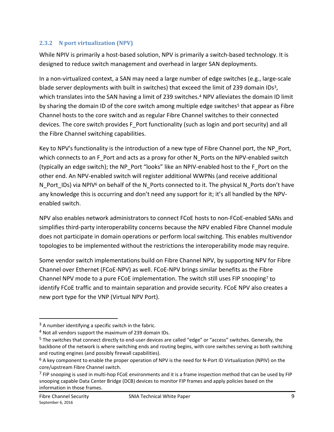#### **2.3.2 N port virtualization (NPV)**

While NPIV is primarily a host-based solution, NPV is primarily a switch-based technology. It is designed to reduce switch management and overhead in larger SAN deployments.

In a non-virtualized context, a SAN may need a large number of edge switches (e.g., large-scale blade server deployments with built in switches) that exceed the limit of 239 domain IDs<sup>3</sup>, which translates into the SAN having a limit of 239 switches.<sup>4</sup> NPV alleviates the domain ID limit by sharing the domain ID of the core switch among multiple edge switches<sup>5</sup> that appear as Fibre Channel hosts to the core switch and as regular Fibre Channel switches to their connected devices. The core switch provides F\_Port functionality (such as login and port security) and all the Fibre Channel switching capabilities.

Key to NPV's functionality is the introduction of a new type of Fibre Channel port, the NP\_Port, which connects to an F\_Port and acts as a proxy for other N\_Ports on the NPV-enabled switch (typically an edge switch); the NP\_Port "looks" like an NPIV-enabled host to the F\_Port on the other end. An NPV-enabled switch will register additional WWPNs (and receive additional N\_Port\_IDs) via NPIV<sup>6</sup> on behalf of the N\_Ports connected to it. The physical N\_Ports don't have any knowledge this is occurring and don't need any support for it; it's all handled by the NPVenabled switch.

NPV also enables network administrators to connect FCoE hosts to non-FCoE-enabled SANs and simplifies third-party interoperability concerns because the NPV enabled Fibre Channel module does not participate in domain operations or perform local switching. This enables multivendor topologies to be implemented without the restrictions the interoperability mode may require.

Some vendor switch implementations build on Fibre Channel NPV, by supporting NPV for Fibre Channel over Ethernet (FCoE-NPV) as well. FCoE-NPV brings similar benefits as the Fibre Channel NPV mode to a pure FCoE implementation. The switch still uses FIP snooping7 to identify FCoE traffic and to maintain separation and provide security. FCoE NPV also creates a new port type for the VNP (Virtual NPV Port).

 $3$  A number identifying a specific switch in the fabric.

<sup>4</sup> Not all vendors support the maximum of 239 domain IDs.

<sup>5</sup> The switches that connect directly to end-user devices are called "edge" or "access" switches. Generally, the backbone of the network is where switching ends and routing begins, with core switches serving as both switching and routing engines (and possibly firewall capabilities).

 $6$  A key component to enable the proper operation of NPV is the need for N-Port ID Virtualization (NPIV) on the core/upstream Fibre Channel switch.

 $<sup>7</sup>$  FIP snooping is used in multi-hop FCoE environments and it is a frame inspection method that can be used by FIP</sup> snooping capable Data Center Bridge (DCB) devices to monitor FIP frames and apply policies based on the information in those frames.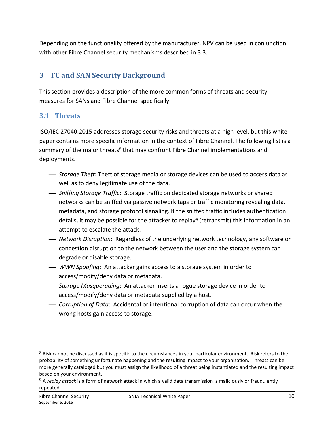Depending on the functionality offered by the manufacturer, NPV can be used in conjunction with other Fibre Channel security mechanisms described in 3.3.

# **3 FC and SAN Security Background**

This section provides a description of the more common forms of threats and security measures for SANs and Fibre Channel specifically.

## **3.1 Threats**

ISO/IEC 27040:2015 addresses storage security risks and threats at a high level, but this white paper contains more specific information in the context of Fibre Channel. The following list is a summary of the major threats<sup>8</sup> that may confront Fibre Channel implementations and deployments.

- ⎯ *Storage Theft*: Theft of storage media or storage devices can be used to access data as well as to deny legitimate use of the data.
- ⎯ *Sniffing Storage Traffic*: Storage traffic on dedicated storage networks or shared networks can be sniffed via passive network taps or traffic monitoring revealing data, metadata, and storage protocol signaling. If the sniffed traffic includes authentication details, it may be possible for the attacker to replay9 (retransmit) this information in an attempt to escalate the attack.
- ⎯ *Network Disruption*: Regardless of the underlying network technology, any software or congestion disruption to the network between the user and the storage system can degrade or disable storage.
- ⎯ *WWN Spoofing*: An attacker gains access to a storage system in order to access/modify/deny data or metadata.
- ⎯ *Storage Masquerading*: An attacker inserts a rogue storage device in order to access/modify/deny data or metadata supplied by a host.
- ⎯ *Corruption of Data*: Accidental or intentional corruption of data can occur when the wrong hosts gain access to storage.

<sup>8</sup> Risk cannot be discussed as it is specific to the circumstances in your particular environment. Risk refers to the probability of something unfortunate happening and the resulting impact to your organization. Threats can be more generally cataloged but you must assign the likelihood of a threat being instantiated and the resulting impact based on your environment.

<sup>9</sup> A *replay attack* is a form of network attack in which a valid data transmission is maliciously or fraudulently repeated.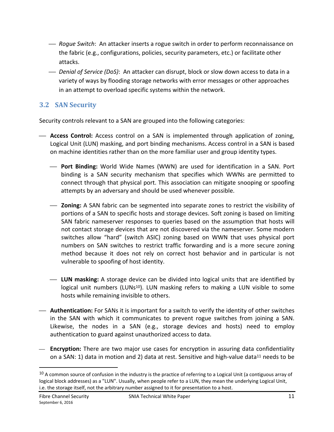- ⎯ *Rogue Switch*: An attacker inserts a rogue switch in order to perform reconnaissance on the fabric (e.g., configurations, policies, security parameters, etc.) or facilitate other attacks.
- ⎯ *Denial of Service (DoS)*: An attacker can disrupt, block or slow down access to data in a variety of ways by flooding storage networks with error messages or other approaches in an attempt to overload specific systems within the network.

## **3.2 SAN Security**

Security controls relevant to a SAN are grouped into the following categories:

- ⎯ **Access Control:** Access control on a SAN is implemented through application of zoning, Logical Unit (LUN) masking, and port binding mechanisms. Access control in a SAN is based on machine identities rather than on the more familiar user and group identity types.
	- ⎯ **Port Binding:** World Wide Names (WWN) are used for identification in a SAN. Port binding is a SAN security mechanism that specifies which WWNs are permitted to connect through that physical port. This association can mitigate snooping or spoofing attempts by an adversary and should be used whenever possible.
	- ⎯ **Zoning:** A SAN fabric can be segmented into separate zones to restrict the visibility of portions of a SAN to specific hosts and storage devices. Soft zoning is based on limiting SAN fabric nameserver responses to queries based on the assumption that hosts will not contact storage devices that are not discovered via the nameserver. Some modern switches allow "hard" (switch ASIC) zoning based on WWN that uses physical port numbers on SAN switches to restrict traffic forwarding and is a more secure zoning method because it does not rely on correct host behavior and in particular is not vulnerable to spoofing of host identity.
	- ⎯ **LUN masking:** A storage device can be divided into logical units that are identified by logical unit numbers (LUNs<sup>10</sup>). LUN masking refers to making a LUN visible to some hosts while remaining invisible to others.
- ⎯ **Authentication:** For SANs it is important for a switch to verify the identity of other switches in the SAN with which it communicates to prevent rogue switches from joining a SAN. Likewise, the nodes in a SAN (e.g., storage devices and hosts) need to employ authentication to guard against unauthorized access to data.
- ⎯ **Encryption:** There are two major use cases for encryption in assuring data confidentiality on a SAN: 1) data in motion and 2) data at rest. Sensitive and high-value data<sup>11</sup> needs to be

 $10$  A common source of confusion in the industry is the practice of referring to a Logical Unit (a contiguous array of logical block addresses) as a "LUN". Usually, when people refer to a LUN, they mean the underlying Logical Unit, i.e. the storage itself, not the arbitrary number assigned to it for presentation to a host.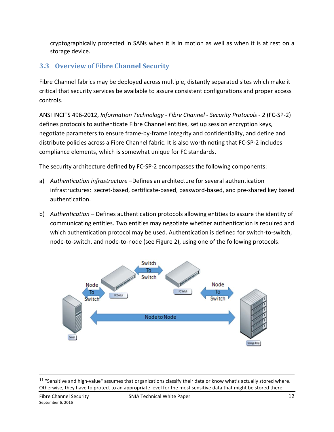cryptographically protected in SANs when it is in motion as well as when it is at rest on a storage device.

# **3.3 Overview of Fibre Channel Security**

Fibre Channel fabrics may be deployed across multiple, distantly separated sites which make it critical that security services be available to assure consistent configurations and proper access controls.

ANSI INCITS 496-2012, *Information Technology - Fibre Channel - Security Protocols - 2* (FC-SP-2) defines protocols to authenticate Fibre Channel entities, set up session encryption keys, negotiate parameters to ensure frame-by-frame integrity and confidentiality, and define and distribute policies across a Fibre Channel fabric. It is also worth noting that FC-SP-2 includes compliance elements, which is somewhat unique for FC standards.

The security architecture defined by FC-SP-2 encompasses the following components:

- a) *Authentication infrastructure* –Defines an architecture for several authentication infrastructures: secret-based, certificate-based, password-based, and pre-shared key based authentication.
- b) *Authentication* Defines authentication protocols allowing entities to assure the identity of communicating entities. Two entities may negotiate whether authentication is required and which authentication protocol may be used. Authentication is defined for switch-to-switch, node-to-switch, and node-to-node (see Figure 2), using one of the following protocols:



<sup>&</sup>lt;sup>11</sup> "Sensitive and high-value" assumes that organizations classify their data or know what's actually stored where. Otherwise, they have to protect to an appropriate level for the most sensitive data that might be stored there.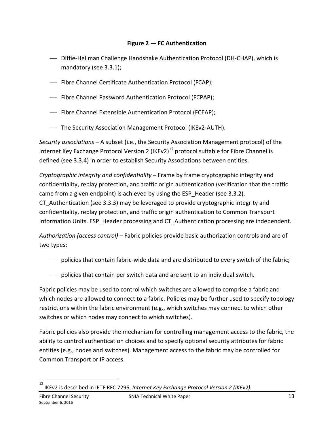#### **Figure 2 — FC Authentication**

- ⎯ Diffie-Hellman Challenge Handshake Authentication Protocol (DH-CHAP), which is mandatory (see 3.3.1);
- ⎯ Fibre Channel Certificate Authentication Protocol (FCAP);
- ⎯ Fibre Channel Password Authentication Protocol (FCPAP);
- ⎯ Fibre Channel Extensible Authentication Protocol (FCEAP);
- ⎯ The Security Association Management Protocol (IKEv2-AUTH).

*Security associations* – A subset (i.e., the Security Association Management protocol) of the Internet Key Exchange Protocol Version 2 (IKEv2)<sup>12</sup> protocol suitable for Fibre Channel is defined (see 3.3.4) in order to establish Security Associations between entities.

*Cryptographic integrity and confidentiality* – Frame by frame cryptographic integrity and confidentiality, replay protection, and traffic origin authentication (verification that the traffic came from a given endpoint) is achieved by using the ESP Header (see 3.3.2).

CT\_Authentication (see 3.3.3) may be leveraged to provide cryptographic integrity and confidentiality, replay protection, and traffic origin authentication to Common Transport Information Units. ESP\_Header processing and CT\_Authentication processing are independent.

*Authorization (access control)* – Fabric policies provide basic authorization controls and are of two types:

- ⎯ policies that contain fabric-wide data and are distributed to every switch of the fabric;
- ⎯ policies that contain per switch data and are sent to an individual switch.

Fabric policies may be used to control which switches are allowed to comprise a fabric and which nodes are allowed to connect to a fabric. Policies may be further used to specify topology restrictions within the fabric environment (e.g., which switches may connect to which other switches or which nodes may connect to which switches).

Fabric policies also provide the mechanism for controlling management access to the fabric, the ability to control authentication choices and to specify optional security attributes for fabric entities (e.g., nodes and switches). Management access to the fabric may be controlled for Common Transport or IP access.

 $\frac{1}{12}$ IKEv2 is described in IETF RFC 7296, *Internet Key Exchange Protocol Version 2 (IKEv2).*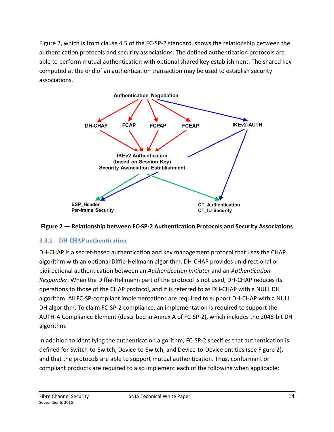Figure 2, which is from clause 4.5 of the FC-SP-2 standard, shows the relationship between the authentication protocols and security associations. The defined authentication protocols are able to perform mutual authentication with optional shared key establishment. The shared key computed at the end of an authentication transaction may be used to establish security associations.





### **3.3.1 DH-CHAP authentication**

DH-CHAP is a secret-based authentication and key management protocol that uses the CHAP algorithm with an optional Diffie-Hellmann algorithm. DH-CHAP provides unidirectional or bidirectional authentication between an *Authentication Initiator* and an *Authentication Responder*. When the Diffie-Hellmann part of the protocol is not used, DH-CHAP reduces its operations to those of the CHAP protocol, and it is referred to as DH-CHAP with a NULL DH algorithm. All FC-SP-compliant implementations are required to support DH-CHAP with a NULL DH algorithm. To claim FC-SP-2 compliance, an implementation is required to support the AUTH-A Compliance Element (described in Annex A of FC-SP-2), which includes the 2048-bit DH algorithm.

In addition to identifying the authentication algorithm, FC-SP-2 specifies that authentication is defined for Switch-to-Switch, Device-to-Switch, and Device-to-Device entities (see Figure 2), and that the protocols are able to support mutual authentication. Thus, conformant or compliant products are required to also implement each of the following when applicable: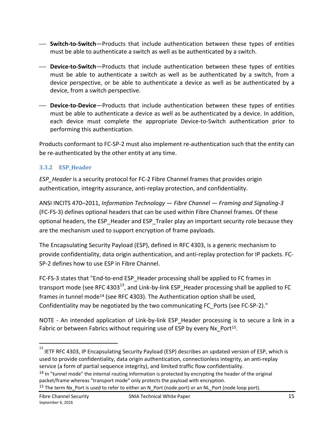- ⎯ **Switch-to-Switch**—Products that include authentication between these types of entities must be able to authenticate a switch as well as be authenticated by a switch.
- ⎯ **Device-to-Switch**—Products that include authentication between these types of entities must be able to authenticate a switch as well as be authenticated by a switch, from a device perspective, or be able to authenticate a device as well as be authenticated by a device, from a switch perspective.
- ⎯ **Device-to-Device**—Products that include authentication between these types of entities must be able to authenticate a device as well as be authenticated by a device. In addition, each device must complete the appropriate Device-to-Switch authentication prior to performing this authentication.

Products conformant to FC-SP-2 must also implement re-authentication such that the entity can be re-authenticated by the other entity at any time.

### **3.3.2 ESP\_Header**

*ESP\_Header* is a security protocol for FC-2 Fibre Channel frames that provides origin authentication, integrity assurance, anti-replay protection, and confidentiality.

ANSI INCITS 470–2011, *Information Technology — Fibre Channel — Framing and Signaling-3*  (FC-FS-3) defines optional headers that can be used within Fibre Channel frames. Of these optional headers, the ESP\_Header and ESP\_Trailer play an important security role because they are the mechanism used to support encryption of frame payloads.

The Encapsulating Security Payload (ESP), defined in RFC 4303, is a generic mechanism to provide confidentiality, data origin authentication, and anti-replay protection for IP packets. FC-SP-2 defines how to use ESP in Fibre Channel.

FC-FS-3 states that "End-to-end ESP\_Header processing shall be applied to FC frames in transport mode (see RFC 4303 $^{13}$ , and Link-by-link ESP Header processing shall be applied to FC frames in tunnel mode<sup>14</sup> (see RFC 4303). The Authentication option shall be used, Confidentiality may be negotiated by the two communicating FC\_Ports (see FC-SP-2)."

NOTE - An intended application of Link-by-link ESP Header processing is to secure a link in a Fabric or between Fabrics without requiring use of ESP by every Nx Port<sup>15</sup>.

<sup>13&</sup>lt;br>13<br>IETF RFC 4303, IP Encapsulating Security Payload (ESP) describes an updated version of ESP, which is used to provide confidentiality, data origin authentication, connectionless integrity, an anti-replay service (a form of partial sequence integrity), and limited traffic flow confidentiality.

<sup>&</sup>lt;sup>14</sup> In "tunnel mode" the internal routing information is protected by encrypting the header of the original packet/frame whereas "transport mode" only protects the payload with encryption.

<sup>15</sup> The term Nx\_Port is used to refer to either an N\_Port (node port) or an NL\_Port (node loop port).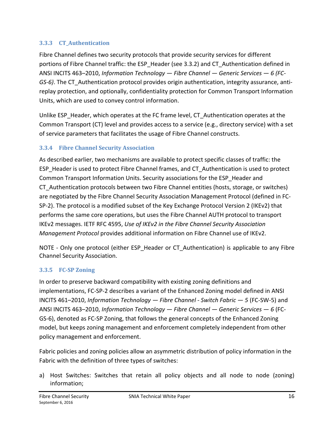#### **3.3.3 CT\_Authentication**

Fibre Channel defines two security protocols that provide security services for different portions of Fibre Channel traffic: the ESP\_Header (see 3.3.2) and CT\_Authentication defined in ANSI INCITS 463–2010, *Information Technology — Fibre Channel — Generic Services — 6 (FC-GS-6)*. The CT\_Authentication protocol provides origin authentication, integrity assurance, antireplay protection, and optionally, confidentiality protection for Common Transport Information Units, which are used to convey control information.

Unlike ESP Header, which operates at the FC frame level, CT Authentication operates at the Common Transport (CT) level and provides access to a service (e.g., directory service) with a set of service parameters that facilitates the usage of Fibre Channel constructs.

## **3.3.4 Fibre Channel Security Association**

As described earlier, two mechanisms are available to protect specific classes of traffic: the ESP\_Header is used to protect Fibre Channel frames, and CT\_Authentication is used to protect Common Transport Information Units. Security associations for the ESP\_Header and CT\_Authentication protocols between two Fibre Channel entities (hosts, storage, or switches) are negotiated by the Fibre Channel Security Association Management Protocol (defined in FC-SP-2). The protocol is a modified subset of the Key Exchange Protocol Version 2 (IKEv2) that performs the same core operations, but uses the Fibre Channel AUTH protocol to transport IKEv2 messages. IETF RFC 4595, *Use of IKEv2 in the Fibre Channel Security Association Management Protocol* provides additional information on Fibre Channel use of IKEv2.

NOTE - Only one protocol (either ESP Header or CT Authentication) is applicable to any Fibre Channel Security Association.

### **3.3.5 FC-SP Zoning**

In order to preserve backward compatibility with existing zoning definitions and implementations, FC-SP-2 describes a variant of the Enhanced Zoning model defined in ANSI INCITS 461–2010, *Information Technology — Fibre Channel - Switch Fabric — 5* (FC-SW-5) and ANSI INCITS 463–2010, *Information Technology — Fibre Channel — Generic Services — 6* (FC-GS-6), denoted as FC-SP Zoning, that follows the general concepts of the Enhanced Zoning model, but keeps zoning management and enforcement completely independent from other policy management and enforcement.

Fabric policies and zoning policies allow an asymmetric distribution of policy information in the Fabric with the definition of three types of switches:

a) Host Switches: Switches that retain all policy objects and all node to node (zoning) information;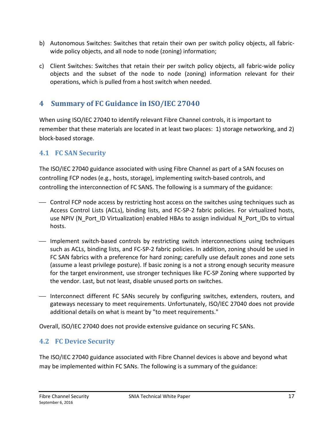- b) Autonomous Switches: Switches that retain their own per switch policy objects, all fabricwide policy objects, and all node to node (zoning) information;
- c) Client Switches: Switches that retain their per switch policy objects, all fabric-wide policy objects and the subset of the node to node (zoning) information relevant for their operations, which is pulled from a host switch when needed.

# **4 Summary of FC Guidance in ISO/IEC 27040**

When using ISO/IEC 27040 to identify relevant Fibre Channel controls, it is important to remember that these materials are located in at least two places: 1) storage networking, and 2) block-based storage.

## **4.1 FC SAN Security**

The ISO/IEC 27040 guidance associated with using Fibre Channel as part of a SAN focuses on controlling FCP nodes (e.g., hosts, storage), implementing switch-based controls, and controlling the interconnection of FC SANS. The following is a summary of the guidance:

- ⎯ Control FCP node access by restricting host access on the switches using techniques such as Access Control Lists (ACLs), binding lists, and FC-SP-2 fabric policies. For virtualized hosts, use NPIV (N\_Port\_ID Virtualization) enabled HBAs to assign individual N\_Port\_IDs to virtual hosts.
- ⎯ Implement switch-based controls by restricting switch interconnections using techniques such as ACLs, binding lists, and FC-SP-2 fabric policies. In addition, zoning should be used in FC SAN fabrics with a preference for hard zoning; carefully use default zones and zone sets (assume a least privilege posture). If basic zoning is a not a strong enough security measure for the target environment, use stronger techniques like FC-SP Zoning where supported by the vendor. Last, but not least, disable unused ports on switches.
- ⎯ Interconnect different FC SANs securely by configuring switches, extenders, routers, and gateways necessary to meet requirements. Unfortunately, ISO/IEC 27040 does not provide additional details on what is meant by "to meet requirements."

Overall, ISO/IEC 27040 does not provide extensive guidance on securing FC SANs.

## **4.2 FC Device Security**

The ISO/IEC 27040 guidance associated with Fibre Channel devices is above and beyond what may be implemented within FC SANs. The following is a summary of the guidance: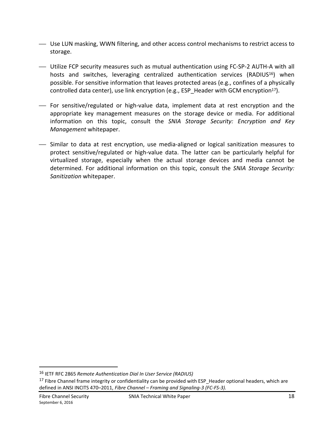- ⎯ Use LUN masking, WWN filtering, and other access control mechanisms to restrict access to storage.
- ⎯ Utilize FCP security measures such as mutual authentication using FC-SP-2 AUTH-A with all hosts and switches, leveraging centralized authentication services (RADIUS<sup>16</sup>) when possible. For sensitive information that leaves protected areas (e.g., confines of a physically controlled data center), use link encryption (e.g., ESP\_Header with GCM encryption<sup>17</sup>).
- ⎯ For sensitive/regulated or high-value data, implement data at rest encryption and the appropriate key management measures on the storage device or media. For additional information on this topic, consult the *SNIA Storage Security: Encryption and Key Management* whitepaper.
- ⎯ Similar to data at rest encryption, use media-aligned or logical sanitization measures to protect sensitive/regulated or high-value data. The latter can be particularly helpful for virtualized storage, especially when the actual storage devices and media cannot be determined. For additional information on this topic, consult the *SNIA Storage Security: Sanitization* whitepaper.

<sup>16</sup> IETF RFC 2865 *Remote Authentication Dial In User Service (RADIUS)*

<sup>&</sup>lt;sup>17</sup> Fibre Channel frame integrity or confidentiality can be provided with ESP\_Header optional headers, which are defined in ANSI INCITS 470–2011, *Fibre Channel – Framing and Signaling-3 (FC-FS-3).*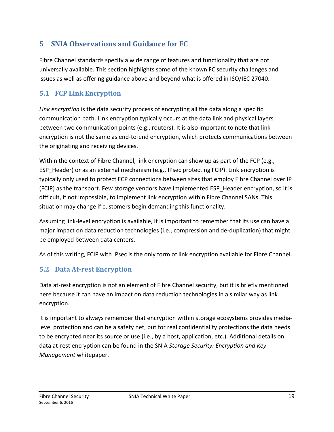# **5 SNIA Observations and Guidance for FC**

Fibre Channel standards specify a wide range of features and functionality that are not universally available. This section highlights some of the known FC security challenges and issues as well as offering guidance above and beyond what is offered in ISO/IEC 27040.

## **5.1 FCP Link Encryption**

*Link encryption* is the data security process of encrypting all the data along a specific communication path. Link encryption typically occurs at the data link and physical layers between two communication points (e.g., routers). It is also important to note that link encryption is not the same as end-to-end encryption, which protects communications between the originating and receiving devices.

Within the context of Fibre Channel, link encryption can show up as part of the FCP (e.g., ESP\_Header) or as an external mechanism (e.g., IPsec protecting FCIP). Link encryption is typically only used to protect FCP connections between sites that employ Fibre Channel over IP (FCIP) as the transport. Few storage vendors have implemented ESP\_Header encryption, so it is difficult, if not impossible, to implement link encryption within Fibre Channel SANs. This situation may change if customers begin demanding this functionality.

Assuming link-level encryption is available, it is important to remember that its use can have a major impact on data reduction technologies (i.e., compression and de-duplication) that might be employed between data centers.

As of this writing, FCIP with IPsec is the only form of link encryption available for Fibre Channel.

## **5.2 Data At-rest Encryption**

Data at-rest encryption is not an element of Fibre Channel security, but it is briefly mentioned here because it can have an impact on data reduction technologies in a similar way as link encryption.

It is important to always remember that encryption within storage ecosystems provides medialevel protection and can be a safety net, but for real confidentiality protections the data needs to be encrypted near its source or use (i.e., by a host, application, etc.). Additional details on data at-rest encryption can be found in the SNIA *Storage Security: Encryption and Key Management* whitepaper.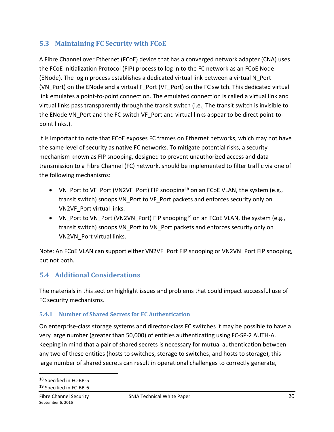## **5.3 Maintaining FC Security with FCoE**

A Fibre Channel over Ethernet (FCoE) device that has a converged network adapter (CNA) uses the FCoE Initialization Protocol (FIP) process to log in to the FC network as an FCoE Node (ENode). The login process establishes a dedicated virtual link between a virtual N\_Port (VN\_Port) on the ENode and a virtual F\_Port (VF\_Port) on the FC switch. This dedicated virtual link emulates a point-to-point connection. The emulated connection is called a virtual link and virtual links pass transparently through the transit switch (i.e., The transit switch is invisible to the ENode VN\_Port and the FC switch VF\_Port and virtual links appear to be direct point-topoint links.).

It is important to note that FCoE exposes FC frames on Ethernet networks, which may not have the same level of security as native FC networks. To mitigate potential risks, a security mechanism known as FIP snooping, designed to prevent unauthorized access and data transmission to a Fibre Channel (FC) network, should be implemented to filter traffic via one of the following mechanisms:

- VN\_Port to VF\_Port (VN2VF\_Port) FIP snooping<sup>18</sup> on an FCoE VLAN, the system (e.g., transit switch) snoops VN\_Port to VF\_Port packets and enforces security only on VN2VF\_Port virtual links.
- VN\_Port to VN\_Port (VN2VN\_Port) FIP snooping<sup>19</sup> on an FCoE VLAN, the system (e.g., transit switch) snoops VN\_Port to VN\_Port packets and enforces security only on VN2VN\_Port virtual links.

Note: An FCoE VLAN can support either VN2VF\_Port FIP snooping or VN2VN\_Port FIP snooping, but not both.

# **5.4 Additional Considerations**

The materials in this section highlight issues and problems that could impact successful use of FC security mechanisms.

## **5.4.1 Number of Shared Secrets for FC Authentication**

On enterprise-class storage systems and director-class FC switches it may be possible to have a very large number (greater than 50,000) of entities authenticating using FC-SP-2 AUTH-A. Keeping in mind that a pair of shared secrets is necessary for mutual authentication between any two of these entities (hosts to switches, storage to switches, and hosts to storage), this large number of shared secrets can result in operational challenges to correctly generate,

 $\overline{a}$ 

<sup>18</sup> Specified in FC-BB-5

<sup>19</sup> Specified in FC-BB-6

September 6, 2016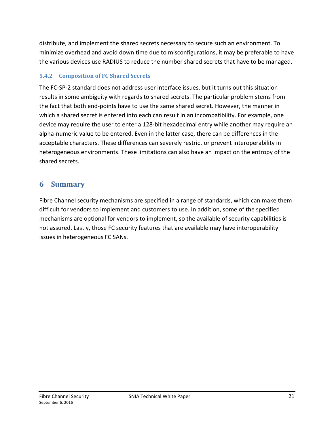distribute, and implement the shared secrets necessary to secure such an environment. To minimize overhead and avoid down time due to misconfigurations, it may be preferable to have the various devices use RADIUS to reduce the number shared secrets that have to be managed.

### **5.4.2 Composition of FC Shared Secrets**

The FC-SP-2 standard does not address user interface issues, but it turns out this situation results in some ambiguity with regards to shared secrets. The particular problem stems from the fact that both end-points have to use the same shared secret. However, the manner in which a shared secret is entered into each can result in an incompatibility. For example, one device may require the user to enter a 128-bit hexadecimal entry while another may require an alpha-numeric value to be entered. Even in the latter case, there can be differences in the acceptable characters. These differences can severely restrict or prevent interoperability in heterogeneous environments. These limitations can also have an impact on the entropy of the shared secrets.

## **6 Summary**

Fibre Channel security mechanisms are specified in a range of standards, which can make them difficult for vendors to implement and customers to use. In addition, some of the specified mechanisms are optional for vendors to implement, so the available of security capabilities is not assured. Lastly, those FC security features that are available may have interoperability issues in heterogeneous FC SANs.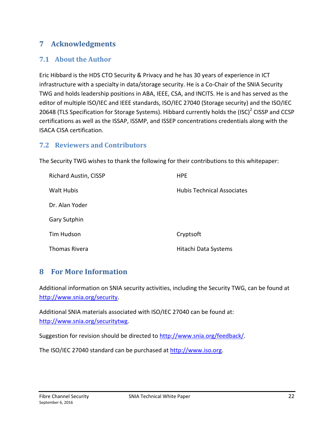## **7 Acknowledgments**

## **7.1 About the Author**

Eric Hibbard is the HDS CTO Security & Privacy and he has 30 years of experience in ICT infrastructure with a specialty in data/storage security. He is a Co-Chair of the SNIA Security TWG and holds leadership positions in ABA, IEEE, CSA, and INCITS. He is and has served as the editor of multiple ISO/IEC and IEEE standards, ISO/IEC 27040 (Storage security) and the ISO/IEC 20648 (TLS Specification for Storage Systems). Hibbard currently holds the (ISC)<sup>2</sup> CISSP and CCSP certifications as well as the ISSAP, ISSMP, and ISSEP concentrations credentials along with the ISACA CISA certification.

#### **7.2 Reviewers and Contributors**

The Security TWG wishes to thank the following for their contributions to this whitepaper:

| <b>Richard Austin, CISSP</b> | <b>HPE</b>                        |
|------------------------------|-----------------------------------|
| <b>Walt Hubis</b>            | <b>Hubis Technical Associates</b> |
| Dr. Alan Yoder               |                                   |
| <b>Gary Sutphin</b>          |                                   |
| Tim Hudson                   | Cryptsoft                         |
| Thomas Rivera                | Hitachi Data Systems              |

### **8 For More Information**

Additional information on SNIA security activities, including the Security TWG, can be found at http://www.snia.org/security.

Additional SNIA materials associated with ISO/IEC 27040 can be found at: http://www.snia.org/securitytwg.

Suggestion for revision should be directed to http://www.snia.org/feedback/.

The ISO/IEC 27040 standard can be purchased at http://www.iso.org.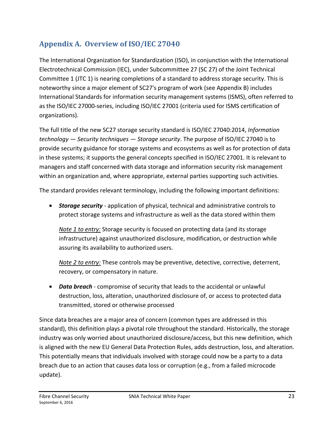# **Appendix A. Overview of ISO/IEC 27040**

The International Organization for Standardization (ISO), in conjunction with the International Electrotechnical Commission (IEC), under Subcommittee 27 (SC 27) of the Joint Technical Committee 1 (JTC 1) is nearing completions of a standard to address storage security. This is noteworthy since a major element of SC27's program of work (see Appendix B) includes International Standards for information security management systems (ISMS), often referred to as the ISO/IEC 27000-series, including ISO/IEC 27001 (criteria used for ISMS certification of organizations).

The full title of the new SC27 storage security standard is ISO/IEC 27040:2014, *Information technology — Security techniques — Storage security*. The purpose of ISO/IEC 27040 is to provide security guidance for storage systems and ecosystems as well as for protection of data in these systems; it supports the general concepts specified in ISO/IEC 27001. It is relevant to managers and staff concerned with data storage and information security risk management within an organization and, where appropriate, external parties supporting such activities.

The standard provides relevant terminology, including the following important definitions:

• *Storage security* - application of physical, technical and administrative controls to protect storage systems and infrastructure as well as the data stored within them

*Note 1 to entry:* Storage security is focused on protecting data (and its storage infrastructure) against unauthorized disclosure, modification, or destruction while assuring its availability to authorized users.

*Note 2 to entry:* These controls may be preventive, detective, corrective, deterrent, recovery, or compensatory in nature.

• *Data breach* - compromise of security that leads to the accidental or unlawful destruction, loss, alteration, unauthorized disclosure of, or access to protected data transmitted, stored or otherwise processed

Since data breaches are a major area of concern (common types are addressed in this standard), this definition plays a pivotal role throughout the standard. Historically, the storage industry was only worried about unauthorized disclosure/access, but this new definition, which is aligned with the new EU General Data Protection Rules, adds destruction, loss, and alteration. This potentially means that individuals involved with storage could now be a party to a data breach due to an action that causes data loss or corruption (e.g., from a failed microcode update).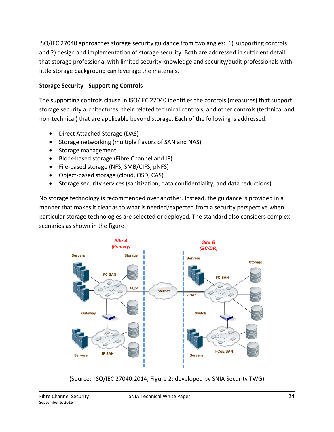ISO/IEC 27040 approaches storage security guidance from two angles: 1) supporting controls and 2) design and implementation of storage security. Both are addressed in sufficient detail that storage professional with limited security knowledge and security/audit professionals with little storage background can leverage the materials.

### **Storage Security - Supporting Controls**

The supporting controls clause in ISO/IEC 27040 identifies the controls (measures) that support storage security architectures, their related technical controls, and other controls (technical and non-technical) that are applicable beyond storage. Each of the following is addressed:

- Direct Attached Storage (DAS)
- Storage networking (multiple flavors of SAN and NAS)
- Storage management
- Block-based storage (Fibre Channel and IP)
- File-based storage (NFS, SMB/CIFS, pNFS)
- Object-based storage (cloud, OSD, CAS)
- Storage security services (sanitization, data confidentiality, and data reductions)

No storage technology is recommended over another. Instead, the guidance is provided in a manner that makes it clear as to what is needed/expected from a security perspective when particular storage technologies are selected or deployed. The standard also considers complex scenarios as shown in the figure.



(Source: ISO/IEC 27040:2014, Figure 2; developed by SNIA Security TWG)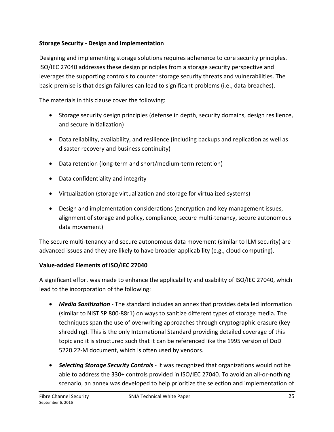#### **Storage Security - Design and Implementation**

Designing and implementing storage solutions requires adherence to core security principles. ISO/IEC 27040 addresses these design principles from a storage security perspective and leverages the supporting controls to counter storage security threats and vulnerabilities. The basic premise is that design failures can lead to significant problems (i.e., data breaches).

The materials in this clause cover the following:

- Storage security design principles (defense in depth, security domains, design resilience, and secure initialization)
- Data reliability, availability, and resilience (including backups and replication as well as disaster recovery and business continuity)
- Data retention (long-term and short/medium-term retention)
- Data confidentiality and integrity
- Virtualization (storage virtualization and storage for virtualized systems)
- Design and implementation considerations (encryption and key management issues, alignment of storage and policy, compliance, secure multi-tenancy, secure autonomous data movement)

The secure multi-tenancy and secure autonomous data movement (similar to ILM security) are advanced issues and they are likely to have broader applicability (e.g., cloud computing).

### **Value-added Elements of ISO/IEC 27040**

A significant effort was made to enhance the applicability and usability of ISO/IEC 27040, which lead to the incorporation of the following:

- *Media Sanitization* The standard includes an annex that provides detailed information (similar to NIST SP 800-88r1) on ways to sanitize different types of storage media. The techniques span the use of overwriting approaches through cryptographic erasure (key shredding). This is the only International Standard providing detailed coverage of this topic and it is structured such that it can be referenced like the 1995 version of DoD 5220.22-M document, which is often used by vendors.
- *Selecting Storage Security Controls* It was recognized that organizations would not be able to address the 330+ controls provided in ISO/IEC 27040. To avoid an all-or-nothing scenario, an annex was developed to help prioritize the selection and implementation of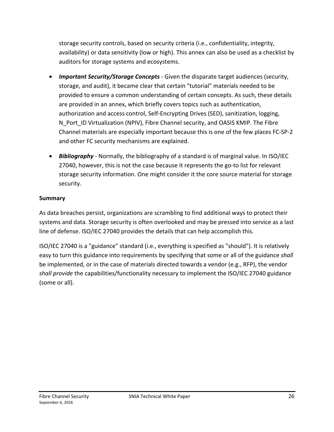storage security controls, based on security criteria (i.e., confidentiality, integrity, availability) or data sensitivity (low or high). This annex can also be used as a checklist by auditors for storage systems and ecosystems.

- *Important Security/Storage Concepts* Given the disparate target audiences (security, storage, and audit), it became clear that certain "tutorial" materials needed to be provided to ensure a common understanding of certain concepts. As such, these details are provided in an annex, which briefly covers topics such as authentication, authorization and access control, Self-Encrypting Drives (SED), sanitization, logging, N Port ID Virtualization (NPIV), Fibre Channel security, and OASIS KMIP. The Fibre Channel materials are especially important because this is one of the few places FC-SP-2 and other FC security mechanisms are explained.
- *Bibliography* Normally, the bibliography of a standard is of marginal value. In ISO/IEC 27040, however, this is not the case because it represents the go-to list for relevant storage security information. One might consider it the core source material for storage security.

#### **Summary**

As data breaches persist, organizations are scrambling to find additional ways to protect their systems and data. Storage security is often overlooked and may be pressed into service as a last line of defense. ISO/IEC 27040 provides the details that can help accomplish this.

ISO/IEC 27040 is a "guidance" standard (i.e., everything is specified as "should"). It is relatively easy to turn this guidance into requirements by specifying that some or all of the guidance *shall* be implemented, or in the case of materials directed towards a vendor (e.g., RFP), the vendor *shall provide* the capabilities/functionality necessary to implement the ISO/IEC 27040 guidance (some or all).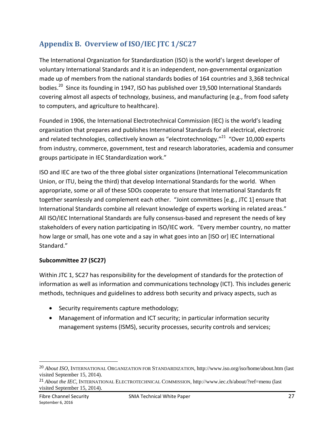# **Appendix B. Overview of ISO/IEC JTC 1/SC27**

The International Organization for Standardization (ISO) is the world's largest developer of voluntary International Standards and it is an independent, non-governmental organization made up of members from the national standards bodies of 164 countries and 3,368 technical bodies.<sup>20</sup> Since its founding in 1947, ISO has published over 19,500 International Standards covering almost all aspects of technology, business, and manufacturing (e.g., from food safety to computers, and agriculture to healthcare).

Founded in 1906, the International Electrotechnical Commission (IEC) is the world's leading organization that prepares and publishes International Standards for all electrical, electronic and related technologies, collectively known as "electrotechnology."<sup>21</sup> "Over 10,000 experts from industry, commerce, government, test and research laboratories, academia and consumer groups participate in IEC Standardization work."

ISO and IEC are two of the three global sister organizations (International Telecommunication Union, or ITU, being the third) that develop International Standards for the world. When appropriate, some or all of these SDOs cooperate to ensure that International Standards fit together seamlessly and complement each other. "Joint committees [e.g., JTC 1] ensure that International Standards combine all relevant knowledge of experts working in related areas." All ISO/IEC International Standards are fully consensus-based and represent the needs of key stakeholders of every nation participating in ISO/IEC work. "Every member country, no matter how large or small, has one vote and a say in what goes into an [ISO or] IEC International Standard."

### **Subcommittee 27 (SC27)**

Within JTC 1, SC27 has responsibility for the development of standards for the protection of information as well as information and communications technology (ICT). This includes generic methods, techniques and guidelines to address both security and privacy aspects, such as

- Security requirements capture methodology;
- Management of information and ICT security; in particular information security management systems (ISMS), security processes, security controls and services;

<sup>20</sup> *About ISO*, INTERNATIONAL ORGANIZATION FOR STANDARDIZATION, http://www.iso.org/iso/home/about.htm (last visited September 15, 2014).

<sup>21</sup> *About the IEC*, INTERNATIONAL ELECTROTECHNICAL COMMISSION, http://www.iec.ch/about/?ref=menu (last visited September 15, 2014).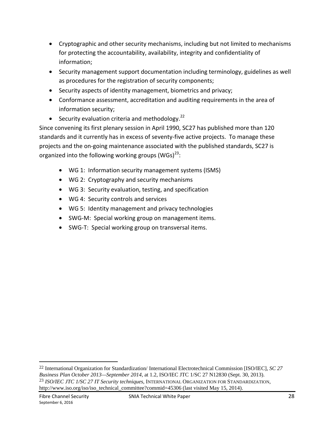- Cryptographic and other security mechanisms, including but not limited to mechanisms for protecting the accountability, availability, integrity and confidentiality of information;
- Security management support documentation including terminology, guidelines as well as procedures for the registration of security components;
- Security aspects of identity management, biometrics and privacy;
- Conformance assessment, accreditation and auditing requirements in the area of information security;
- Security evaluation criteria and methodology. $^{22}$

Since convening its first plenary session in April 1990, SC27 has published more than 120 standards and it currently has in excess of seventy-five active projects. To manage these projects and the on-going maintenance associated with the published standards, SC27 is organized into the following working groups (WGs) $^{23}$ :

- WG 1: Information security management systems (ISMS)
- WG 2: Cryptography and security mechanisms
- WG 3: Security evaluation, testing, and specification
- WG 4: Security controls and services
- WG 5: Identity management and privacy technologies
- SWG-M: Special working group on management items.
- SWG-T: Special working group on transversal items.

<sup>22</sup> International Organization for Standardization/ International Electrotechnical Commission [ISO/IEC], *SC 27 Business Plan October 2013—September 2014*, at 1.2, ISO/IEC JTC 1/SC 27 N12830 (Sept. 30, 2013). 23 *ISO/IEC JTC 1/SC 27 IT Security techniques*, INTERNATIONAL ORGANIZATION FOR STANDARDIZATION, http://www.iso.org/iso/iso\_technical\_committee?commid=45306 (last visited May 15, 2014).